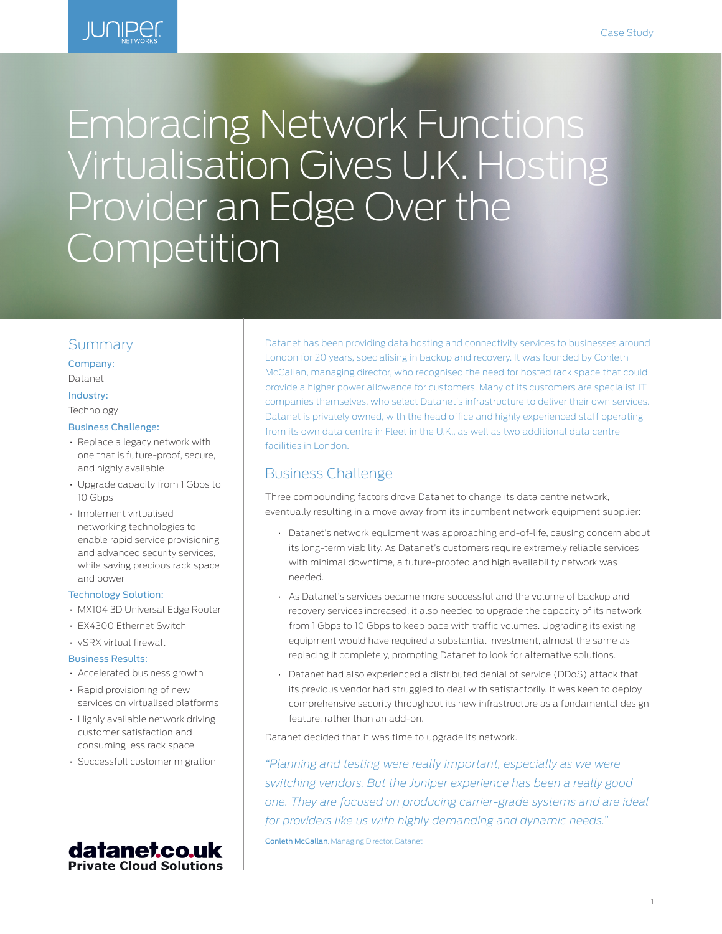

# Embracing Network Functions Virtualisation Gives U.K. Hosting Provider an Edge Over the Competition

### Summary

Company: Datanet

#### Industry:

Technology

#### Business Challenge:

- Replace a legacy network with one that is future-proof, secure, and highly available
- Upgrade capacity from 1 Gbps to 10 Ghns
- Implement virtualised networking technologies to enable rapid service provisioning and advanced security services, while saving precious rack space and power

#### Technology Solution:

- MX104 3D Universal Edge Router
- EX4300 Ethernet Switch
- vSRX virtual firewall

#### Business Results:

- Accelerated business growth
- Rapid provisioning of new services on virtualised platforms
- Highly available network driving customer satisfaction and consuming less rack space
- Successfull customer migration



Datanet has been providing data hosting and connectivity services to businesses around London for 20 years, specialising in backup and recovery. It was founded by Conleth McCallan, managing director, who recognised the need for hosted rack space that could provide a higher power allowance for customers. Many of its customers are specialist IT companies themselves, who select Datanet's infrastructure to deliver their own services. Datanet is privately owned, with the head office and highly experienced staff operating from its own data centre in Fleet in the U.K., as well as two additional data centre facilities in London.

## Business Challenge

Three compounding factors drove Datanet to change its data centre network, eventually resulting in a move away from its incumbent network equipment supplier:

- Datanet's network equipment was approaching end-of-life, causing concern about its long-term viability. As Datanet's customers require extremely reliable services with minimal downtime, a future-proofed and high availability network was needed.
- As Datanet's services became more successful and the volume of backup and recovery services increased, it also needed to upgrade the capacity of its network from 1 Gbps to 10 Gbps to keep pace with traffic volumes. Upgrading its existing equipment would have required a substantial investment, almost the same as replacing it completely, prompting Datanet to look for alternative solutions.
- Datanet had also experienced a distributed denial of service (DDoS) attack that its previous vendor had struggled to deal with satisfactorily. It was keen to deploy comprehensive security throughout its new infrastructure as a fundamental design feature, rather than an add-on.

Datanet decided that it was time to upgrade its network.

*"Planning and testing were really important, especially as we were switching vendors. But the Juniper experience has been a really good one. They are focused on producing carrier-grade systems and are ideal for providers like us with highly demanding and dynamic needs."*  Conleth McCallan, Managing Director, Datanet

1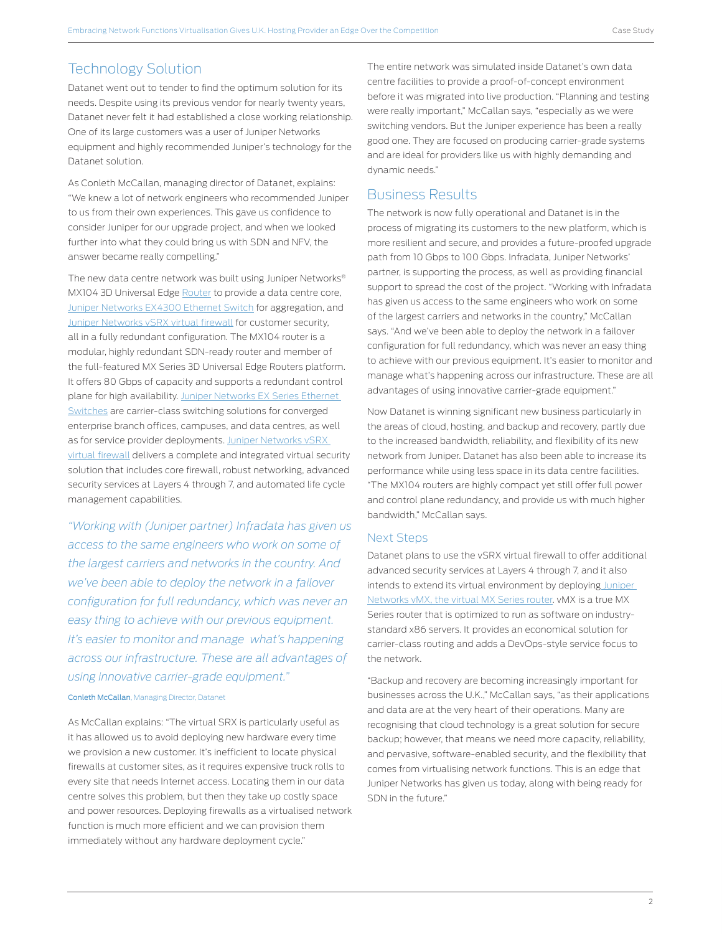## Technology Solution

Datanet went out to tender to find the optimum solution for its needs. Despite using its previous vendor for nearly twenty years, Datanet never felt it had established a close working relationship. One of its large customers was a user of Juniper Networks equipment and highly recommended Juniper's technology for the Datanet solution.

As Conleth McCallan, managing director of Datanet, explains: "We knew a lot of network engineers who recommended Juniper to us from their own experiences. This gave us confidence to consider Juniper for our upgrade project, and when we looked further into what they could bring us with SDN and NFV, the answer became really compelling."

The new data centre network was built using Juniper Networks® MX104 3D Universal Edge [Router](http://www.juniper.net/us/en/products-services/routing/mx-series/mx104/) to provide a data centre core, [Juniper Networks EX4300 Ethernet Switch](http://www.juniper.net/us/en/products-services/switching/ex-series/) for aggregation, and [Juniper Networks vSRX virtual firewall](https://www.juniper.net/uk/en/products-services/security/srx-series/vsrx/) for customer security, all in a fully redundant configuration. The MX104 router is a modular, highly redundant SDN-ready router and member of the full-featured MX Series 3D Universal Edge Routers platform. It offers 80 Gbps of capacity and supports a redundant control plane for high availability. [Juniper Networks EX Series Ethernet](http://www.juniper.net/us/en/products-services/switching/ex-series/)  [Switches](http://www.juniper.net/us/en/products-services/switching/ex-series/) are carrier-class switching solutions for converged enterprise branch offices, campuses, and data centres, as well as for service provider deployments. Juniper Networks vSRX [virtual firewall](https://www.juniper.net/uk/en/products-services/security/srx-series/vsrx/) delivers a complete and integrated virtual security solution that includes core firewall, robust networking, advanced security services at Layers 4 through 7, and automated life cycle management capabilities.

*"Working with (Juniper partner) Infradata has given us access to the same engineers who work on some of the largest carriers and networks in the country. And we've been able to deploy the network in a failover configuration for full redundancy, which was never an easy thing to achieve with our previous equipment. It's easier to monitor and manage what's happening across our infrastructure. These are all advantages of using innovative carrier-grade equipment."* 

#### Conleth McCallan, Managing Director, Datanet

As McCallan explains: "The virtual SRX is particularly useful as it has allowed us to avoid deploying new hardware every time we provision a new customer. It's inefficient to locate physical firewalls at customer sites, as it requires expensive truck rolls to every site that needs Internet access. Locating them in our data centre solves this problem, but then they take up costly space and power resources. Deploying firewalls as a virtualised network function is much more efficient and we can provision them immediately without any hardware deployment cycle."

The entire network was simulated inside Datanet's own data centre facilities to provide a proof-of-concept environment before it was migrated into live production. "Planning and testing were really important," McCallan says, "especially as we were switching vendors. But the Juniper experience has been a really good one. They are focused on producing carrier-grade systems and are ideal for providers like us with highly demanding and dynamic needs."

## Business Results

The network is now fully operational and Datanet is in the process of migrating its customers to the new platform, which is more resilient and secure, and provides a future-proofed upgrade path from 10 Gbps to 100 Gbps. Infradata, Juniper Networks' partner, is supporting the process, as well as providing financial support to spread the cost of the project. "Working with Infradata has given us access to the same engineers who work on some of the largest carriers and networks in the country," McCallan says. "And we've been able to deploy the network in a failover configuration for full redundancy, which was never an easy thing to achieve with our previous equipment. It's easier to monitor and manage what's happening across our infrastructure. These are all advantages of using innovative carrier-grade equipment."

Now Datanet is winning significant new business particularly in the areas of cloud, hosting, and backup and recovery, partly due to the increased bandwidth, reliability, and flexibility of its new network from Juniper. Datanet has also been able to increase its performance while using less space in its data centre facilities. "The MX104 routers are highly compact yet still offer full power and control plane redundancy, and provide us with much higher bandwidth," McCallan says.

#### Next Steps

Datanet plans to use the vSRX virtual firewall to offer additional advanced security services at Layers 4 through 7, and it also intends to extend its virtual environment by deploying Juniper [Networks vMX, the virtual MX Series router.](http://www.juniper.net/us/en/products-services/routing/mx-series/vmx/) vMX is a true MX Series router that is optimized to run as software on industrystandard x86 servers. It provides an economical solution for carrier-class routing and adds a DevOps-style service focus to the network.

"Backup and recovery are becoming increasingly important for businesses across the U.K.," McCallan says, "as their applications and data are at the very heart of their operations. Many are recognising that cloud technology is a great solution for secure backup; however, that means we need more capacity, reliability, and pervasive, software-enabled security, and the flexibility that comes from virtualising network functions. This is an edge that Juniper Networks has given us today, along with being ready for SDN in the future."